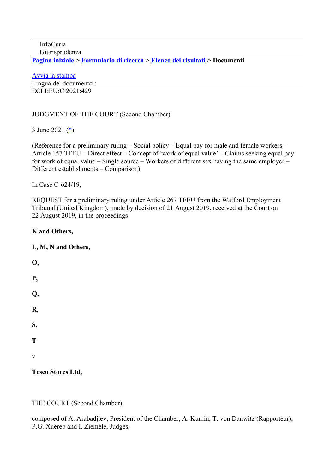InfoCuria Giurisprudenza

**[Pagina iniziale](http://curia.europa.eu/jcms/jcms/j_6?PortalAction_x_000_userLang=it) > [Formulario di ricerca](https://curia.europa.eu/juris/document/document.jsf?docid=242024&text=&dir=&doclang=EN&part=1&occ=first&mode=lst&pageIndex=0&actionMethod=document%2Fdocument.xhtml%3AformController.resetAction&cid=233982) > [Elenco dei risultati](https://curia.europa.eu/juris/documents.jsf?oqp=&for=&mat=or&lgrec=it&jge=&td=%3BALL&jur=C%2CT%2CF&num=C-624%252F19&page=1&dates=&pcs=Oor&lg=&pro=&nat=or&cit=none%252CC%252CCJ%252CR%252C2008E%252C%252C%252C%252C%252C%252C%252C%252C%252C%252Ctrue%252Cfalse%252Cfalse&language=it&avg=&cid=233982) > Documenti** 

[Avvia la stampa](https://curia.europa.eu/juris/document/document_print.jsf?docid=242024&text=&dir=&doclang=EN&part=1&occ=first&mode=lst&pageIndex=0&cid=233982) Lingua del documento : ECLI:EU:C:2021:429

#### JUDGMENT OF THE COURT (Second Chamber)

3 June 2021 ([\\*\)](https://curia.europa.eu/juris/document/document.jsf?text=&docid=242024&pageIndex=0&doclang=EN&mode=lst&dir=&occ=first&part=1&cid=233982#Footnote*)

(Reference for a preliminary ruling – Social policy – Equal pay for male and female workers – Article 157 TFEU – Direct effect – Concept of 'work of equal value' – Claims seeking equal pay for work of equal value – Single source – Workers of different sex having the same employer – Different establishments – Comparison)

In Case C-624/19,

REQUEST for a preliminary ruling under Article 267 TFEU from the Watford Employment Tribunal (United Kingdom), made by decision of 21 August 2019, received at the Court on 22 August 2019, in the proceedings

#### **K and Others,**

#### **L, M, N and Others,**

**O, P, Q, R, S, T** v

**Tesco Stores Ltd,**

THE COURT (Second Chamber),

composed of A. Arabadjiev, President of the Chamber, A. Kumin, T. von Danwitz (Rapporteur), P.G. Xuereb and I. Ziemele, Judges,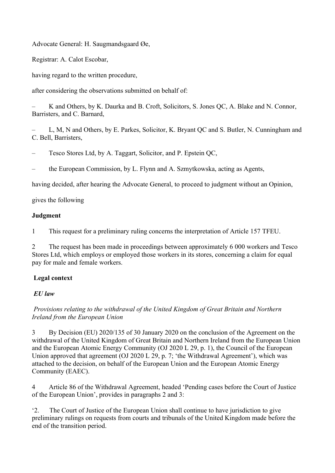Advocate General: H. Saugmandsgaard Øe,

Registrar: A. Calot Escobar,

having regard to the written procedure,

after considering the observations submitted on behalf of:

– K and Others, by K. Daurka and B. Croft, Solicitors, S. Jones QC, A. Blake and N. Connor, Barristers, and C. Barnard,

– L, M, N and Others, by E. Parkes, Solicitor, K. Bryant QC and S. Butler, N. Cunningham and C. Bell, Barristers,

– Tesco Stores Ltd, by A. Taggart, Solicitor, and P. Epstein QC,

– the European Commission, by L. Flynn and A. Szmytkowska, acting as Agents,

having decided, after hearing the Advocate General, to proceed to judgment without an Opinion,

gives the following

#### **Judgment**

1 This request for a preliminary ruling concerns the interpretation of Article 157 TFEU.

2 The request has been made in proceedings between approximately 6 000 workers and Tesco Stores Ltd, which employs or employed those workers in its stores, concerning a claim for equal pay for male and female workers.

# **Legal context**

#### *EU law*

## *Provisions relating to the withdrawal of the United Kingdom of Great Britain and Northern Ireland from the European Union*

3 By Decision (EU) 2020/135 of 30 January 2020 on the conclusion of the Agreement on the withdrawal of the United Kingdom of Great Britain and Northern Ireland from the European Union and the European Atomic Energy Community (OJ 2020 L 29, p. 1), the Council of the European Union approved that agreement (OJ 2020 L 29, p. 7; 'the Withdrawal Agreement'), which was attached to the decision, on behalf of the European Union and the European Atomic Energy Community (EAEC).

4 Article 86 of the Withdrawal Agreement, headed 'Pending cases before the Court of Justice of the European Union', provides in paragraphs 2 and 3:

'2. The Court of Justice of the European Union shall continue to have jurisdiction to give preliminary rulings on requests from courts and tribunals of the United Kingdom made before the end of the transition period.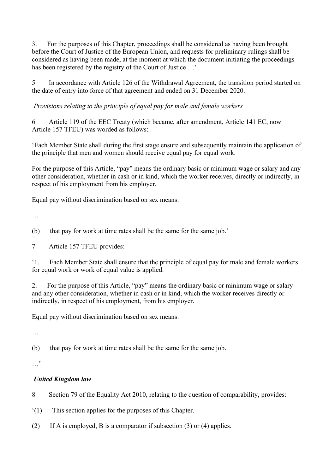3. For the purposes of this Chapter, proceedings shall be considered as having been brought before the Court of Justice of the European Union, and requests for preliminary rulings shall be considered as having been made, at the moment at which the document initiating the proceedings has been registered by the registry of the Court of Justice ...'

5 In accordance with Article 126 of the Withdrawal Agreement, the transition period started on the date of entry into force of that agreement and ended on 31 December 2020.

*Provisions relating to the principle of equal pay for male and female workers*

6 Article 119 of the EEC Treaty (which became, after amendment, Article 141 EC, now Article 157 TFEU) was worded as follows:

'Each Member State shall during the first stage ensure and subsequently maintain the application of the principle that men and women should receive equal pay for equal work.

For the purpose of this Article, "pay" means the ordinary basic or minimum wage or salary and any other consideration, whether in cash or in kind, which the worker receives, directly or indirectly, in respect of his employment from his employer.

Equal pay without discrimination based on sex means:

…

(b) that pay for work at time rates shall be the same for the same job.'

7 Article 157 TFEU provides:

'1. Each Member State shall ensure that the principle of equal pay for male and female workers for equal work or work of equal value is applied.

2. For the purpose of this Article, "pay" means the ordinary basic or minimum wage or salary and any other consideration, whether in cash or in kind, which the worker receives directly or indirectly, in respect of his employment, from his employer.

Equal pay without discrimination based on sex means:

…

(b) that pay for work at time rates shall be the same for the same job.

…'

# *United Kingdom law*

8 Section 79 of the Equality Act 2010, relating to the question of comparability, provides:

- '(1) This section applies for the purposes of this Chapter.
- (2) If A is employed, B is a comparator if subsection (3) or (4) applies.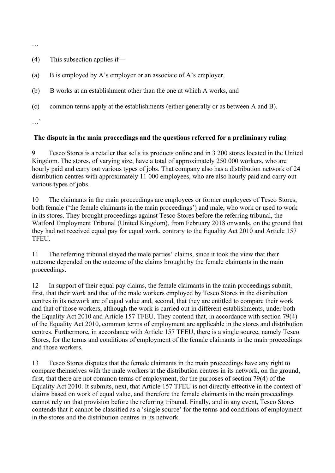…

- (4) This subsection applies if—
- (a) B is employed by A's employer or an associate of A's employer,
- (b) B works at an establishment other than the one at which A works, and
- (c) common terms apply at the establishments (either generally or as between A and B).
- …'

#### **The dispute in the main proceedings and the questions referred for a preliminary ruling**

9 Tesco Stores is a retailer that sells its products online and in 3 200 stores located in the United Kingdom. The stores, of varying size, have a total of approximately 250 000 workers, who are hourly paid and carry out various types of jobs. That company also has a distribution network of 24 distribution centres with approximately 11 000 employees, who are also hourly paid and carry out various types of jobs.

10 The claimants in the main proceedings are employees or former employees of Tesco Stores, both female ('the female claimants in the main proceedings') and male, who work or used to work in its stores. They brought proceedings against Tesco Stores before the referring tribunal, the Watford Employment Tribunal (United Kingdom), from February 2018 onwards, on the ground that they had not received equal pay for equal work, contrary to the Equality Act 2010 and Article 157 TFEU.

11 The referring tribunal stayed the male parties' claims, since it took the view that their outcome depended on the outcome of the claims brought by the female claimants in the main proceedings.

12 In support of their equal pay claims, the female claimants in the main proceedings submit, first, that their work and that of the male workers employed by Tesco Stores in the distribution centres in its network are of equal value and, second, that they are entitled to compare their work and that of those workers, although the work is carried out in different establishments, under both the Equality Act 2010 and Article 157 TFEU. They contend that, in accordance with section 79(4) of the Equality Act 2010, common terms of employment are applicable in the stores and distribution centres. Furthermore, in accordance with Article 157 TFEU, there is a single source, namely Tesco Stores, for the terms and conditions of employment of the female claimants in the main proceedings and those workers.

13 Tesco Stores disputes that the female claimants in the main proceedings have any right to compare themselves with the male workers at the distribution centres in its network, on the ground, first, that there are not common terms of employment, for the purposes of section 79(4) of the Equality Act 2010. It submits, next, that Article 157 TFEU is not directly effective in the context of claims based on work of equal value, and therefore the female claimants in the main proceedings cannot rely on that provision before the referring tribunal. Finally, and in any event, Tesco Stores contends that it cannot be classified as a 'single source' for the terms and conditions of employment in the stores and the distribution centres in its network.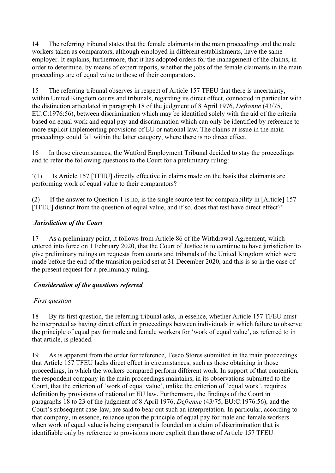14 The referring tribunal states that the female claimants in the main proceedings and the male workers taken as comparators, although employed in different establishments, have the same employer. It explains, furthermore, that it has adopted orders for the management of the claims, in order to determine, by means of expert reports, whether the jobs of the female claimants in the main proceedings are of equal value to those of their comparators.

15 The referring tribunal observes in respect of Article 157 TFEU that there is uncertainty, within United Kingdom courts and tribunals, regarding its direct effect, connected in particular with the distinction articulated in paragraph 18 of the judgment of 8 April 1976, *Defrenne* (43/75, EU:C:1976:56), between discrimination which may be identified solely with the aid of the criteria based on equal work and equal pay and discrimination which can only be identified by reference to more explicit implementing provisions of EU or national law. The claims at issue in the main proceedings could fall within the latter category, where there is no direct effect.

16 In those circumstances, the Watford Employment Tribunal decided to stay the proceedings and to refer the following questions to the Court for a preliminary ruling:

'(1) Is Article 157 [TFEU] directly effective in claims made on the basis that claimants are performing work of equal value to their comparators?

(2) If the answer to Question 1 is no, is the single source test for comparability in [Article] 157 [TFEU] distinct from the question of equal value, and if so, does that test have direct effect?'

## *Jurisdiction of the Court*

17 As a preliminary point, it follows from Article 86 of the Withdrawal Agreement, which entered into force on 1 February 2020, that the Court of Justice is to continue to have jurisdiction to give preliminary rulings on requests from courts and tribunals of the United Kingdom which were made before the end of the transition period set at 31 December 2020, and this is so in the case of the present request for a preliminary ruling.

# *Consideration of the questions referred*

# *First question*

18 By its first question, the referring tribunal asks, in essence, whether Article 157 TFEU must be interpreted as having direct effect in proceedings between individuals in which failure to observe the principle of equal pay for male and female workers for 'work of equal value', as referred to in that article, is pleaded.

19 As is apparent from the order for reference, Tesco Stores submitted in the main proceedings that Article 157 TFEU lacks direct effect in circumstances, such as those obtaining in those proceedings, in which the workers compared perform different work. In support of that contention, the respondent company in the main proceedings maintains, in its observations submitted to the Court, that the criterion of 'work of equal value', unlike the criterion of 'equal work', requires definition by provisions of national or EU law. Furthermore, the findings of the Court in paragraphs 18 to 23 of the judgment of 8 April 1976, *Defrenne* (43/75, EU:C:1976:56), and the Court's subsequent case-law, are said to bear out such an interpretation. In particular, according to that company, in essence, reliance upon the principle of equal pay for male and female workers when work of equal value is being compared is founded on a claim of discrimination that is identifiable only by reference to provisions more explicit than those of Article 157 TFEU.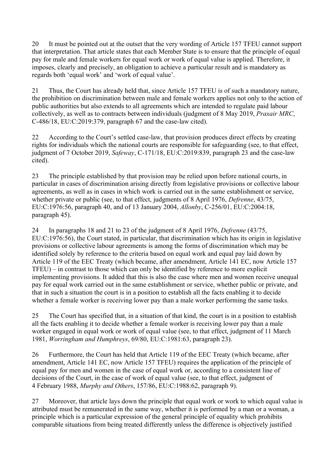20 It must be pointed out at the outset that the very wording of Article 157 TFEU cannot support that interpretation. That article states that each Member State is to ensure that the principle of equal pay for male and female workers for equal work or work of equal value is applied. Therefore, it imposes, clearly and precisely, an obligation to achieve a particular result and is mandatory as regards both 'equal work' and 'work of equal value'.

21 Thus, the Court has already held that, since Article 157 TFEU is of such a mandatory nature, the prohibition on discrimination between male and female workers applies not only to the action of public authorities but also extends to all agreements which are intended to regulate paid labour collectively, as well as to contracts between individuals (judgment of 8 May 2019, *Praxair MRC*, C-486/18, EU:C:2019:379, paragraph 67 and the case-law cited).

22 According to the Court's settled case-law, that provision produces direct effects by creating rights for individuals which the national courts are responsible for safeguarding (see, to that effect, judgment of 7 October 2019, *Safeway*, C-171/18, EU:C:2019:839, paragraph 23 and the case-law cited).

23 The principle established by that provision may be relied upon before national courts, in particular in cases of discrimination arising directly from legislative provisions or collective labour agreements, as well as in cases in which work is carried out in the same establishment or service, whether private or public (see, to that effect, judgments of 8 April 1976, *Defrenne*, 43/75, EU:C:1976:56, paragraph 40, and of 13 January 2004, *Allonby*, C-256/01, EU:C:2004:18, paragraph 45).

24 In paragraphs 18 and 21 to 23 of the judgment of 8 April 1976, *Defrenne* (43/75, EU:C:1976:56), the Court stated, in particular, that discrimination which has its origin in legislative provisions or collective labour agreements is among the forms of discrimination which may be identified solely by reference to the criteria based on equal work and equal pay laid down by Article 119 of the EEC Treaty (which became, after amendment, Article 141 EC, now Article 157 TFEU) – in contrast to those which can only be identified by reference to more explicit implementing provisions. It added that this is also the case where men and women receive unequal pay for equal work carried out in the same establishment or service, whether public or private, and that in such a situation the court is in a position to establish all the facts enabling it to decide whether a female worker is receiving lower pay than a male worker performing the same tasks.

25 The Court has specified that, in a situation of that kind, the court is in a position to establish all the facts enabling it to decide whether a female worker is receiving lower pay than a male worker engaged in equal work or work of equal value (see, to that effect, judgment of 11 March 1981, *Worringham and Humphreys*, 69/80, EU:C:1981:63, paragraph 23).

26 Furthermore, the Court has held that Article 119 of the EEC Treaty (which became, after amendment, Article 141 EC, now Article 157 TFEU) requires the application of the principle of equal pay for men and women in the case of equal work or, according to a consistent line of decisions of the Court, in the case of work of equal value (see, to that effect, judgment of 4 February 1988, *Murphy and Others*, 157/86, EU:C:1988:62, paragraph 9).

27 Moreover, that article lays down the principle that equal work or work to which equal value is attributed must be remunerated in the same way, whether it is performed by a man or a woman, a principle which is a particular expression of the general principle of equality which prohibits comparable situations from being treated differently unless the difference is objectively justified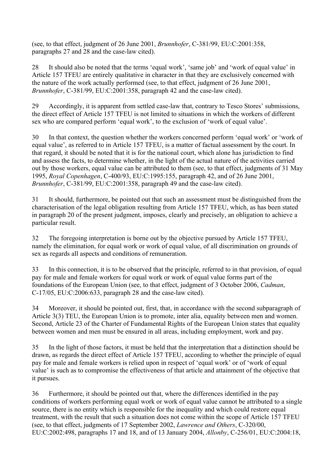(see, to that effect, judgment of 26 June 2001, *Brunnhofer*, C-381/99, EU:C:2001:358, paragraphs 27 and 28 and the case-law cited).

28 It should also be noted that the terms 'equal work', 'same job' and 'work of equal value' in Article 157 TFEU are entirely qualitative in character in that they are exclusively concerned with the nature of the work actually performed (see, to that effect, judgment of 26 June 2001, *Brunnhofer*, C-381/99, EU:C:2001:358, paragraph 42 and the case-law cited).

29 Accordingly, it is apparent from settled case-law that, contrary to Tesco Stores' submissions, the direct effect of Article 157 TFEU is not limited to situations in which the workers of different sex who are compared perform 'equal work', to the exclusion of 'work of equal value'.

30 In that context, the question whether the workers concerned perform 'equal work' or 'work of equal value', as referred to in Article 157 TFEU, is a matter of factual assessment by the court. In that regard, it should be noted that it is for the national court, which alone has jurisdiction to find and assess the facts, to determine whether, in the light of the actual nature of the activities carried out by those workers, equal value can be attributed to them (see, to that effect, judgments of 31 May 1995, *Royal Copenhagen*, C-400/93, EU:C:1995:155, paragraph 42, and of 26 June 2001, *Brunnhofer*, C-381/99, EU:C:2001:358, paragraph 49 and the case-law cited).

31 It should, furthermore, be pointed out that such an assessment must be distinguished from the characterisation of the legal obligation resulting from Article 157 TFEU, which, as has been stated in paragraph 20 of the present judgment, imposes, clearly and precisely, an obligation to achieve a particular result.

32 The foregoing interpretation is borne out by the objective pursued by Article 157 TFEU, namely the elimination, for equal work or work of equal value, of all discrimination on grounds of sex as regards all aspects and conditions of remuneration.

33 In this connection, it is to be observed that the principle, referred to in that provision, of equal pay for male and female workers for equal work or work of equal value forms part of the foundations of the European Union (see, to that effect, judgment of 3 October 2006, *Cadman*, C-17/05, EU:C:2006:633, paragraph 28 and the case-law cited).

34 Moreover, it should be pointed out, first, that, in accordance with the second subparagraph of Article 3(3) TEU, the European Union is to promote, inter alia, equality between men and women. Second, Article 23 of the Charter of Fundamental Rights of the European Union states that equality between women and men must be ensured in all areas, including employment, work and pay.

35 In the light of those factors, it must be held that the interpretation that a distinction should be drawn, as regards the direct effect of Article 157 TFEU, according to whether the principle of equal pay for male and female workers is relied upon in respect of 'equal work' or of 'work of equal value' is such as to compromise the effectiveness of that article and attainment of the objective that it pursues.

36 Furthermore, it should be pointed out that, where the differences identified in the pay conditions of workers performing equal work or work of equal value cannot be attributed to a single source, there is no entity which is responsible for the inequality and which could restore equal treatment, with the result that such a situation does not come within the scope of Article 157 TFEU (see, to that effect, judgments of 17 September 2002, *Lawrence and Others*, C-320/00, EU:C:2002:498, paragraphs 17 and 18, and of 13 January 2004, *Allonby*, C-256/01, EU:C:2004:18,